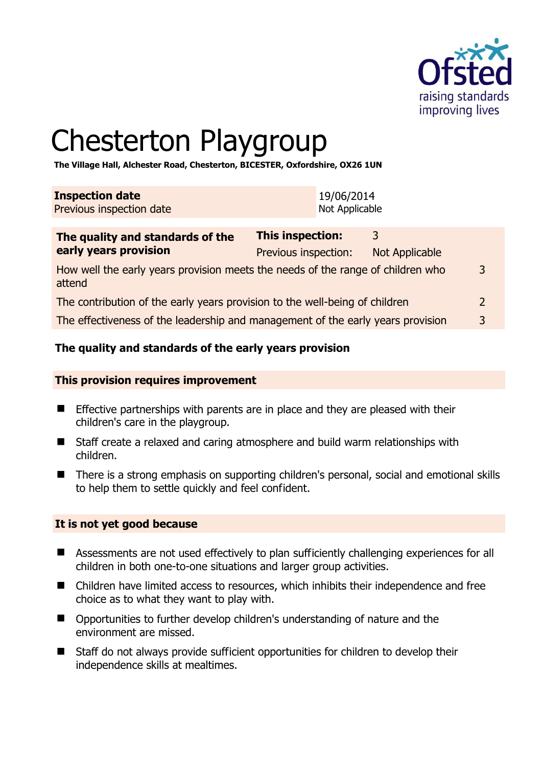

# Chesterton Playgroup

**The Village Hall, Alchester Road, Chesterton, BICESTER, Oxfordshire, OX26 1UN** 

| <b>Inspection date</b>   | 19/06/2014     |
|--------------------------|----------------|
| Previous inspection date | Not Applicable |

| The quality and standards of the                                                          | <b>This inspection:</b> | 3              |               |
|-------------------------------------------------------------------------------------------|-------------------------|----------------|---------------|
| early years provision                                                                     | Previous inspection:    | Not Applicable |               |
| How well the early years provision meets the needs of the range of children who<br>attend |                         |                | 3             |
| The contribution of the early years provision to the well-being of children               |                         |                | $\mathcal{P}$ |
| The effectiveness of the leadership and management of the early years provision           |                         |                | 3             |

#### **The quality and standards of the early years provision**

#### **This provision requires improvement**

- **Effective partnerships with parents are in place and they are pleased with their** children's care in the playgroup.
- Staff create a relaxed and caring atmosphere and build warm relationships with children.
- There is a strong emphasis on supporting children's personal, social and emotional skills to help them to settle quickly and feel confident.

#### **It is not yet good because**

- Assessments are not used effectively to plan sufficiently challenging experiences for all children in both one-to-one situations and larger group activities.
- Children have limited access to resources, which inhibits their independence and free choice as to what they want to play with.
- Opportunities to further develop children's understanding of nature and the environment are missed.
- Staff do not always provide sufficient opportunities for children to develop their independence skills at mealtimes.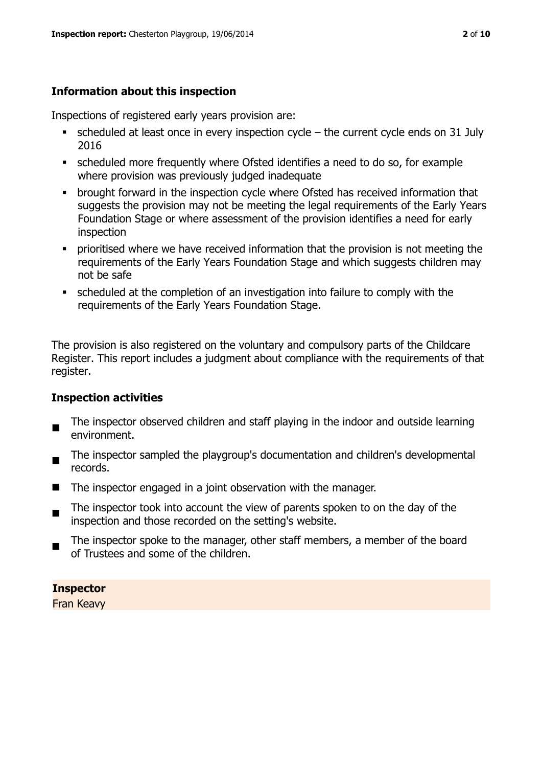# **Information about this inspection**

Inspections of registered early years provision are:

- $\bullet$  scheduled at least once in every inspection cycle the current cycle ends on 31 July 2016
- scheduled more frequently where Ofsted identifies a need to do so, for example where provision was previously judged inadequate
- **•** brought forward in the inspection cycle where Ofsted has received information that suggests the provision may not be meeting the legal requirements of the Early Years Foundation Stage or where assessment of the provision identifies a need for early inspection
- **•** prioritised where we have received information that the provision is not meeting the requirements of the Early Years Foundation Stage and which suggests children may not be safe
- scheduled at the completion of an investigation into failure to comply with the requirements of the Early Years Foundation Stage.

The provision is also registered on the voluntary and compulsory parts of the Childcare Register. This report includes a judgment about compliance with the requirements of that register.

# **Inspection activities**

- $\blacksquare$ The inspector observed children and staff playing in the indoor and outside learning environment.
- The inspector sampled the playgroup's documentation and children's developmental records.
- $\blacksquare$  The inspector engaged in a joint observation with the manager.
- $\blacksquare$ The inspector took into account the view of parents spoken to on the day of the inspection and those recorded on the setting's website.
- The inspector spoke to the manager, other staff members, a member of the board of Trustees and some of the children.

# **Inspector**

Fran Keavy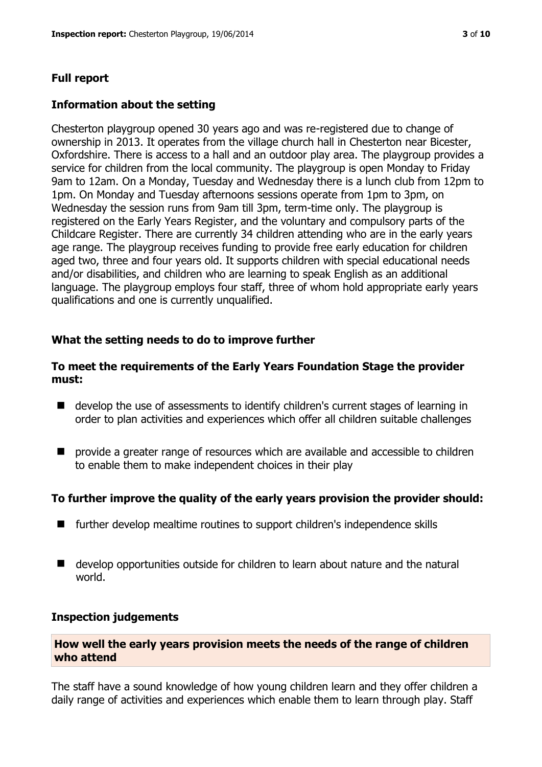# **Full report**

## **Information about the setting**

Chesterton playgroup opened 30 years ago and was re-registered due to change of ownership in 2013. It operates from the village church hall in Chesterton near Bicester, Oxfordshire. There is access to a hall and an outdoor play area. The playgroup provides a service for children from the local community. The playgroup is open Monday to Friday 9am to 12am. On a Monday, Tuesday and Wednesday there is a lunch club from 12pm to 1pm. On Monday and Tuesday afternoons sessions operate from 1pm to 3pm, on Wednesday the session runs from 9am till 3pm, term-time only. The playgroup is registered on the Early Years Register, and the voluntary and compulsory parts of the Childcare Register. There are currently 34 children attending who are in the early years age range. The playgroup receives funding to provide free early education for children aged two, three and four years old. It supports children with special educational needs and/or disabilities, and children who are learning to speak English as an additional language. The playgroup employs four staff, three of whom hold appropriate early years qualifications and one is currently unqualified.

# **What the setting needs to do to improve further**

#### **To meet the requirements of the Early Years Foundation Stage the provider must:**

- develop the use of assessments to identify children's current stages of learning in order to plan activities and experiences which offer all children suitable challenges
- **n** provide a greater range of resources which are available and accessible to children to enable them to make independent choices in their play

# **To further improve the quality of the early years provision the provider should:**

- further develop mealtime routines to support children's independence skills
- develop opportunities outside for children to learn about nature and the natural world.

#### **Inspection judgements**

#### **How well the early years provision meets the needs of the range of children who attend**

The staff have a sound knowledge of how young children learn and they offer children a daily range of activities and experiences which enable them to learn through play. Staff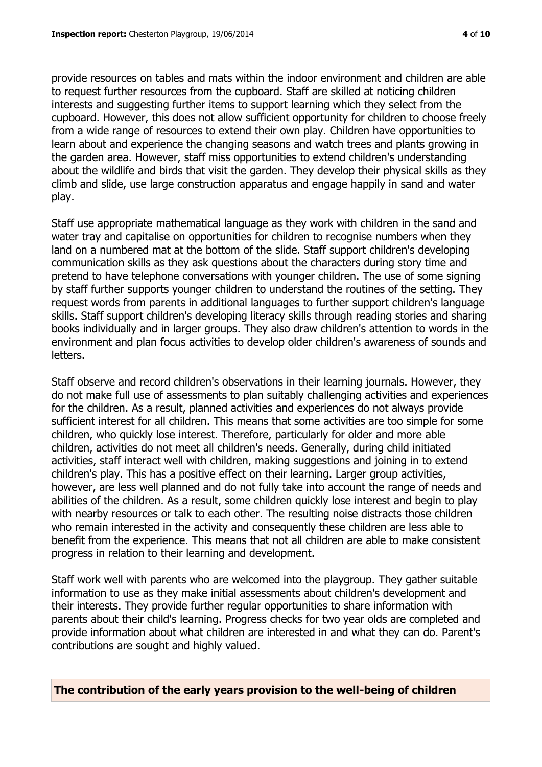provide resources on tables and mats within the indoor environment and children are able to request further resources from the cupboard. Staff are skilled at noticing children interests and suggesting further items to support learning which they select from the cupboard. However, this does not allow sufficient opportunity for children to choose freely from a wide range of resources to extend their own play. Children have opportunities to learn about and experience the changing seasons and watch trees and plants growing in the garden area. However, staff miss opportunities to extend children's understanding about the wildlife and birds that visit the garden. They develop their physical skills as they climb and slide, use large construction apparatus and engage happily in sand and water play.

Staff use appropriate mathematical language as they work with children in the sand and water tray and capitalise on opportunities for children to recognise numbers when they land on a numbered mat at the bottom of the slide. Staff support children's developing communication skills as they ask questions about the characters during story time and pretend to have telephone conversations with younger children. The use of some signing by staff further supports younger children to understand the routines of the setting. They request words from parents in additional languages to further support children's language skills. Staff support children's developing literacy skills through reading stories and sharing books individually and in larger groups. They also draw children's attention to words in the environment and plan focus activities to develop older children's awareness of sounds and letters.

Staff observe and record children's observations in their learning journals. However, they do not make full use of assessments to plan suitably challenging activities and experiences for the children. As a result, planned activities and experiences do not always provide sufficient interest for all children. This means that some activities are too simple for some children, who quickly lose interest. Therefore, particularly for older and more able children, activities do not meet all children's needs. Generally, during child initiated activities, staff interact well with children, making suggestions and joining in to extend children's play. This has a positive effect on their learning. Larger group activities, however, are less well planned and do not fully take into account the range of needs and abilities of the children. As a result, some children quickly lose interest and begin to play with nearby resources or talk to each other. The resulting noise distracts those children who remain interested in the activity and consequently these children are less able to benefit from the experience. This means that not all children are able to make consistent progress in relation to their learning and development.

Staff work well with parents who are welcomed into the playgroup. They gather suitable information to use as they make initial assessments about children's development and their interests. They provide further regular opportunities to share information with parents about their child's learning. Progress checks for two year olds are completed and provide information about what children are interested in and what they can do. Parent's contributions are sought and highly valued.

**The contribution of the early years provision to the well-being of children**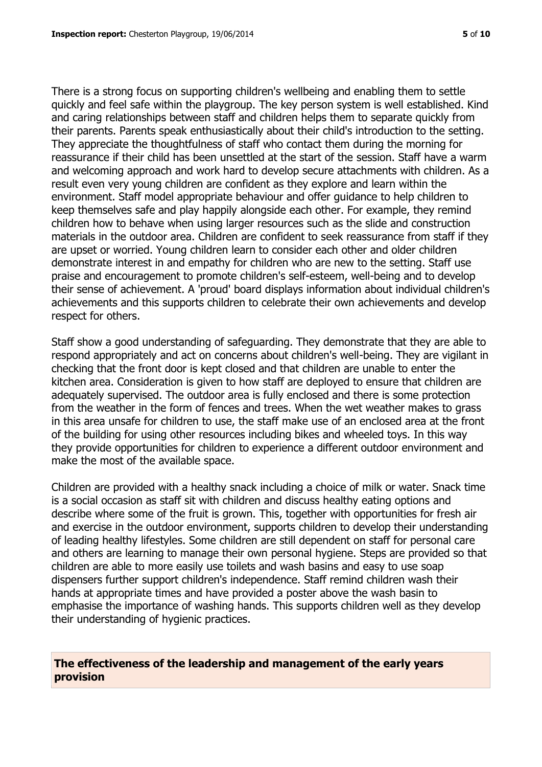There is a strong focus on supporting children's wellbeing and enabling them to settle quickly and feel safe within the playgroup. The key person system is well established. Kind and caring relationships between staff and children helps them to separate quickly from their parents. Parents speak enthusiastically about their child's introduction to the setting. They appreciate the thoughtfulness of staff who contact them during the morning for reassurance if their child has been unsettled at the start of the session. Staff have a warm and welcoming approach and work hard to develop secure attachments with children. As a result even very young children are confident as they explore and learn within the environment. Staff model appropriate behaviour and offer guidance to help children to keep themselves safe and play happily alongside each other. For example, they remind children how to behave when using larger resources such as the slide and construction materials in the outdoor area. Children are confident to seek reassurance from staff if they are upset or worried. Young children learn to consider each other and older children demonstrate interest in and empathy for children who are new to the setting. Staff use praise and encouragement to promote children's self-esteem, well-being and to develop their sense of achievement. A 'proud' board displays information about individual children's achievements and this supports children to celebrate their own achievements and develop respect for others.

Staff show a good understanding of safeguarding. They demonstrate that they are able to respond appropriately and act on concerns about children's well-being. They are vigilant in checking that the front door is kept closed and that children are unable to enter the kitchen area. Consideration is given to how staff are deployed to ensure that children are adequately supervised. The outdoor area is fully enclosed and there is some protection from the weather in the form of fences and trees. When the wet weather makes to grass in this area unsafe for children to use, the staff make use of an enclosed area at the front of the building for using other resources including bikes and wheeled toys. In this way they provide opportunities for children to experience a different outdoor environment and make the most of the available space.

Children are provided with a healthy snack including a choice of milk or water. Snack time is a social occasion as staff sit with children and discuss healthy eating options and describe where some of the fruit is grown. This, together with opportunities for fresh air and exercise in the outdoor environment, supports children to develop their understanding of leading healthy lifestyles. Some children are still dependent on staff for personal care and others are learning to manage their own personal hygiene. Steps are provided so that children are able to more easily use toilets and wash basins and easy to use soap dispensers further support children's independence. Staff remind children wash their hands at appropriate times and have provided a poster above the wash basin to emphasise the importance of washing hands. This supports children well as they develop their understanding of hygienic practices.

**The effectiveness of the leadership and management of the early years provision**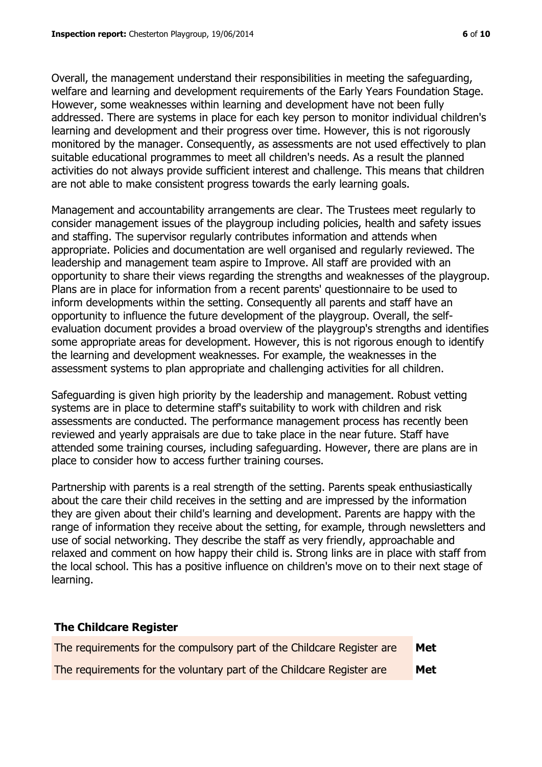Overall, the management understand their responsibilities in meeting the safeguarding, welfare and learning and development requirements of the Early Years Foundation Stage. However, some weaknesses within learning and development have not been fully addressed. There are systems in place for each key person to monitor individual children's learning and development and their progress over time. However, this is not rigorously monitored by the manager. Consequently, as assessments are not used effectively to plan suitable educational programmes to meet all children's needs. As a result the planned activities do not always provide sufficient interest and challenge. This means that children are not able to make consistent progress towards the early learning goals.

Management and accountability arrangements are clear. The Trustees meet regularly to consider management issues of the playgroup including policies, health and safety issues and staffing. The supervisor regularly contributes information and attends when appropriate. Policies and documentation are well organised and regularly reviewed. The leadership and management team aspire to Improve. All staff are provided with an opportunity to share their views regarding the strengths and weaknesses of the playgroup. Plans are in place for information from a recent parents' questionnaire to be used to inform developments within the setting. Consequently all parents and staff have an opportunity to influence the future development of the playgroup. Overall, the selfevaluation document provides a broad overview of the playgroup's strengths and identifies some appropriate areas for development. However, this is not rigorous enough to identify the learning and development weaknesses. For example, the weaknesses in the assessment systems to plan appropriate and challenging activities for all children.

Safeguarding is given high priority by the leadership and management. Robust vetting systems are in place to determine staff's suitability to work with children and risk assessments are conducted. The performance management process has recently been reviewed and yearly appraisals are due to take place in the near future. Staff have attended some training courses, including safeguarding. However, there are plans are in place to consider how to access further training courses.

Partnership with parents is a real strength of the setting. Parents speak enthusiastically about the care their child receives in the setting and are impressed by the information they are given about their child's learning and development. Parents are happy with the range of information they receive about the setting, for example, through newsletters and use of social networking. They describe the staff as very friendly, approachable and relaxed and comment on how happy their child is. Strong links are in place with staff from the local school. This has a positive influence on children's move on to their next stage of learning.

# **The Childcare Register**

| The requirements for the compulsory part of the Childcare Register are | Met |
|------------------------------------------------------------------------|-----|
| The requirements for the voluntary part of the Childcare Register are  | Met |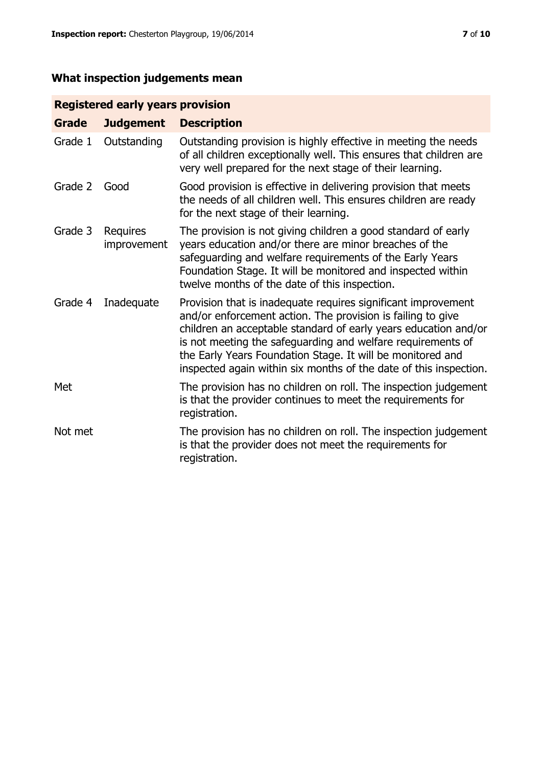# **What inspection judgements mean**

# **Registered early years provision**

| <b>Grade</b> | <b>Judgement</b>        | <b>Description</b>                                                                                                                                                                                                                                                                                                                                                                                |
|--------------|-------------------------|---------------------------------------------------------------------------------------------------------------------------------------------------------------------------------------------------------------------------------------------------------------------------------------------------------------------------------------------------------------------------------------------------|
| Grade 1      | Outstanding             | Outstanding provision is highly effective in meeting the needs<br>of all children exceptionally well. This ensures that children are<br>very well prepared for the next stage of their learning.                                                                                                                                                                                                  |
| Grade 2      | Good                    | Good provision is effective in delivering provision that meets<br>the needs of all children well. This ensures children are ready<br>for the next stage of their learning.                                                                                                                                                                                                                        |
| Grade 3      | Requires<br>improvement | The provision is not giving children a good standard of early<br>years education and/or there are minor breaches of the<br>safeguarding and welfare requirements of the Early Years<br>Foundation Stage. It will be monitored and inspected within<br>twelve months of the date of this inspection.                                                                                               |
| Grade 4      | Inadequate              | Provision that is inadequate requires significant improvement<br>and/or enforcement action. The provision is failing to give<br>children an acceptable standard of early years education and/or<br>is not meeting the safeguarding and welfare requirements of<br>the Early Years Foundation Stage. It will be monitored and<br>inspected again within six months of the date of this inspection. |
| Met          |                         | The provision has no children on roll. The inspection judgement<br>is that the provider continues to meet the requirements for<br>registration.                                                                                                                                                                                                                                                   |
| Not met      |                         | The provision has no children on roll. The inspection judgement<br>is that the provider does not meet the requirements for<br>registration.                                                                                                                                                                                                                                                       |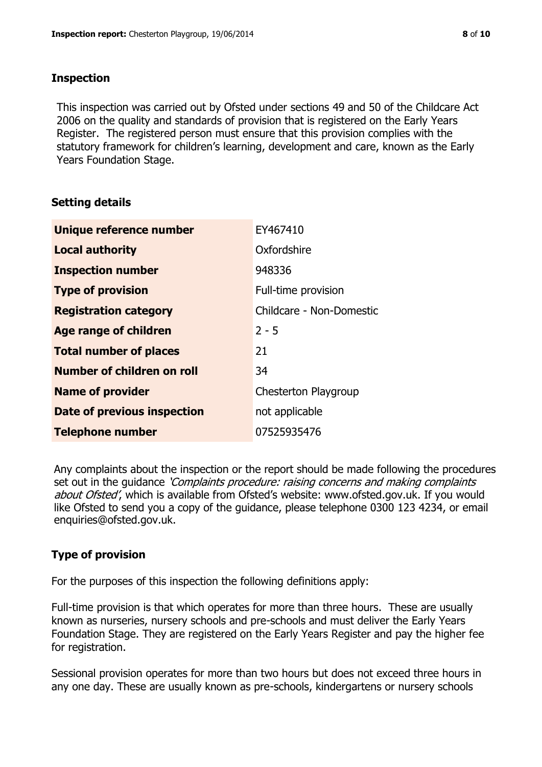## **Inspection**

This inspection was carried out by Ofsted under sections 49 and 50 of the Childcare Act 2006 on the quality and standards of provision that is registered on the Early Years Register. The registered person must ensure that this provision complies with the statutory framework for children's learning, development and care, known as the Early Years Foundation Stage.

# **Setting details**

| Unique reference number       | EY467410                 |
|-------------------------------|--------------------------|
| <b>Local authority</b>        | Oxfordshire              |
| <b>Inspection number</b>      | 948336                   |
| <b>Type of provision</b>      | Full-time provision      |
| <b>Registration category</b>  | Childcare - Non-Domestic |
| <b>Age range of children</b>  | $2 - 5$                  |
| <b>Total number of places</b> | 21                       |
| Number of children on roll    | 34                       |
| <b>Name of provider</b>       | Chesterton Playgroup     |
| Date of previous inspection   | not applicable           |
| <b>Telephone number</b>       | 07525935476              |

Any complaints about the inspection or the report should be made following the procedures set out in the guidance *'Complaints procedure: raising concerns and making complaints* about Ofsted', which is available from Ofsted's website: www.ofsted.gov.uk. If you would like Ofsted to send you a copy of the guidance, please telephone 0300 123 4234, or email enquiries@ofsted.gov.uk.

# **Type of provision**

For the purposes of this inspection the following definitions apply:

Full-time provision is that which operates for more than three hours. These are usually known as nurseries, nursery schools and pre-schools and must deliver the Early Years Foundation Stage. They are registered on the Early Years Register and pay the higher fee for registration.

Sessional provision operates for more than two hours but does not exceed three hours in any one day. These are usually known as pre-schools, kindergartens or nursery schools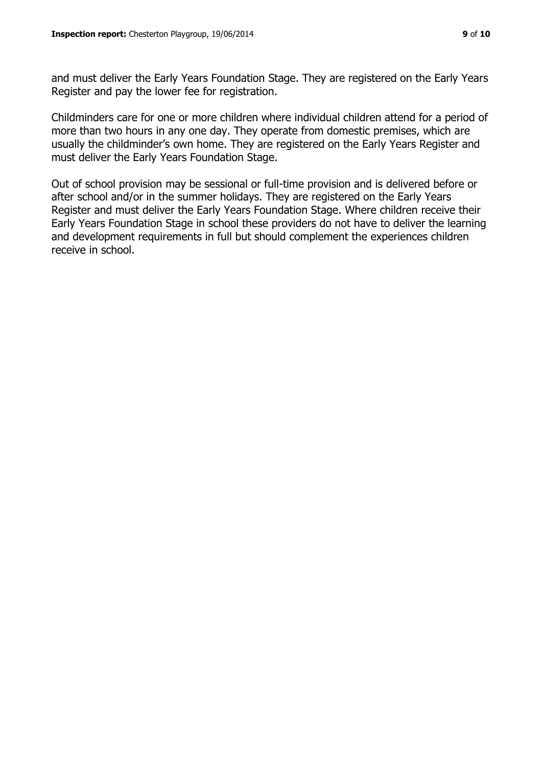and must deliver the Early Years Foundation Stage. They are registered on the Early Years Register and pay the lower fee for registration.

Childminders care for one or more children where individual children attend for a period of more than two hours in any one day. They operate from domestic premises, which are usually the childminder's own home. They are registered on the Early Years Register and must deliver the Early Years Foundation Stage.

Out of school provision may be sessional or full-time provision and is delivered before or after school and/or in the summer holidays. They are registered on the Early Years Register and must deliver the Early Years Foundation Stage. Where children receive their Early Years Foundation Stage in school these providers do not have to deliver the learning and development requirements in full but should complement the experiences children receive in school.